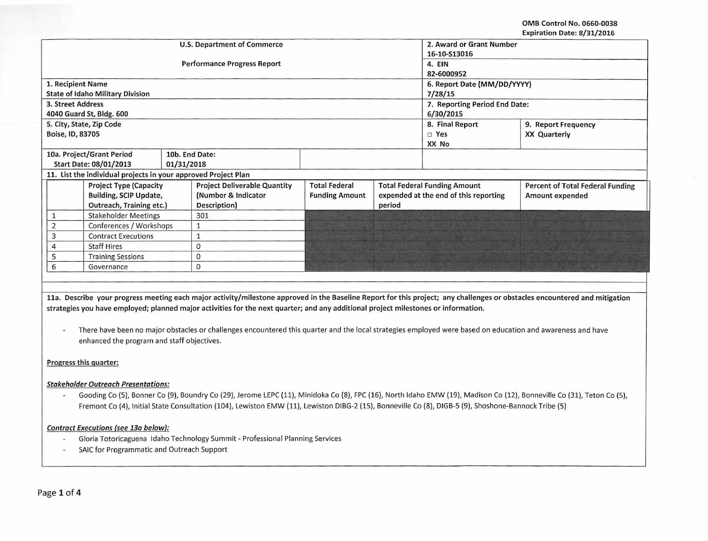OMS Control No. 0660-0038 Expiration Date: 8/31/2016

|                                                                |                                         |  |                                     |                             |                                       |                                     | expiration Date: 8/31/2016              |  |  |
|----------------------------------------------------------------|-----------------------------------------|--|-------------------------------------|-----------------------------|---------------------------------------|-------------------------------------|-----------------------------------------|--|--|
|                                                                |                                         |  | <b>U.S. Department of Commerce</b>  | 2. Award or Grant Number    |                                       |                                     |                                         |  |  |
|                                                                |                                         |  |                                     | 16-10-S13016                |                                       |                                     |                                         |  |  |
|                                                                |                                         |  | <b>Performance Progress Report</b>  | 4. EIN                      |                                       |                                     |                                         |  |  |
|                                                                |                                         |  |                                     | 82-6000952                  |                                       |                                     |                                         |  |  |
| 1. Recipient Name                                              |                                         |  |                                     | 6. Report Date (MM/DD/YYYY) |                                       |                                     |                                         |  |  |
|                                                                | <b>State of Idaho Military Division</b> |  |                                     |                             |                                       | 7/28/15                             |                                         |  |  |
| 3. Street Address                                              |                                         |  |                                     |                             |                                       | 7. Reporting Period End Date:       |                                         |  |  |
|                                                                | 4040 Guard St, Bldg. 600                |  |                                     |                             |                                       | 6/30/2015                           |                                         |  |  |
|                                                                | 5. City, State, Zip Code                |  |                                     |                             |                                       | 8. Final Report                     | 9. Report Frequency                     |  |  |
| Boise, ID, 83705                                               |                                         |  |                                     |                             |                                       | $\square$ Yes                       | <b>XX Quarterly</b>                     |  |  |
|                                                                |                                         |  |                                     |                             |                                       | XX No                               |                                         |  |  |
|                                                                | 10a. Project/Grant Period               |  | 10b. End Date:                      |                             |                                       |                                     |                                         |  |  |
| Start Date: 08/01/2013<br>01/31/2018                           |                                         |  |                                     |                             |                                       |                                     |                                         |  |  |
| 11. List the individual projects in your approved Project Plan |                                         |  |                                     |                             |                                       |                                     |                                         |  |  |
|                                                                | <b>Project Type (Capacity</b>           |  | <b>Project Deliverable Quantity</b> | <b>Total Federal</b>        |                                       | <b>Total Federal Funding Amount</b> | <b>Percent of Total Federal Funding</b> |  |  |
|                                                                | Building, SCIP Update,                  |  | (Number & Indicator                 | <b>Funding Amount</b>       | expended at the end of this reporting |                                     | Amount expended                         |  |  |
|                                                                | Outreach, Training etc.)                |  | Description)                        |                             | period                                |                                     |                                         |  |  |
|                                                                | <b>Stakeholder Meetings</b>             |  | 301                                 |                             |                                       |                                     |                                         |  |  |
| 2                                                              | Conferences / Workshops                 |  | 1                                   |                             |                                       |                                     |                                         |  |  |
| 3                                                              | <b>Contract Executions</b>              |  | 1                                   |                             |                                       |                                     |                                         |  |  |
| 4                                                              | <b>Staff Hires</b>                      |  | $\mathbf 0$                         |                             |                                       |                                     |                                         |  |  |
| 5                                                              | <b>Training Sessions</b>                |  | 0                                   |                             |                                       |                                     |                                         |  |  |
| 6                                                              | Governance                              |  | $\mathbf{0}$                        |                             |                                       |                                     |                                         |  |  |
|                                                                |                                         |  |                                     |                             |                                       |                                     |                                         |  |  |
|                                                                |                                         |  |                                     |                             |                                       |                                     |                                         |  |  |

lla. Describe your progress meeting each major activity/milestone approved in the Baseline Report for this project; any challenges or obstacles encountered and mitigation strategies you have employed; planned major activities for the next quarter; and any additional project milestones or information.

There have been no major obstacles or challenges encountered this quarter and the local strategies employed were based on education and awareness and have  $\omega$ enhanced the program and staff objectives.

# Progress this quarter:

## Stakeholder Outreach Presentations:

Gooding Co (5), Bonner Co (9), Boundry Co (29), Jerome LEPC (11), Minidoka Co (8), FPC (16), North Idaho EMW (19), Madison Co (12), Bonneville Co (31), Teton Co (5),  $\sim$ Fremont Co (4), Initial State Consultation (104), Lewiston EMW (11), Lewiston DIBG-2 (15), Bonneville Co (8), DIGB-5 (9), Shoshone-Bannock Tribe (5)

## Contract Executions (see 13a below}:

- Gloria Totoricaguena Idaho Technology Summit- Professional Planning Services  $\overline{\phantom{a}}$
- SAIC for Programmatic and Outreach Support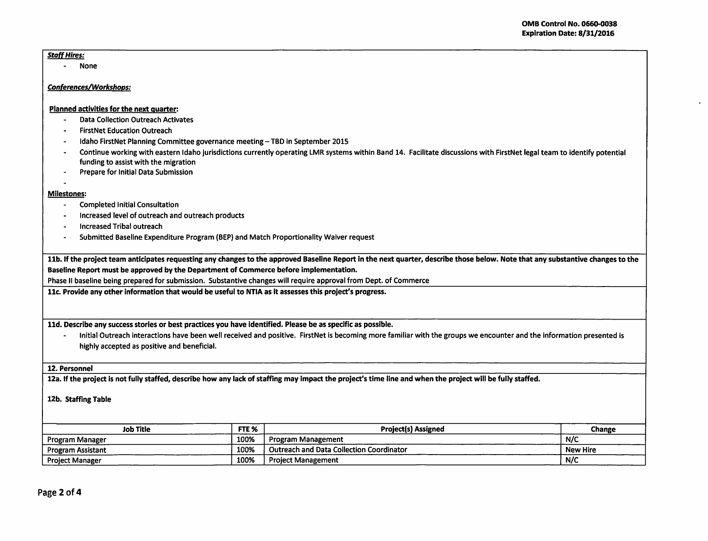### Staff Hires:

- None

### Conferences/Workshops:

#### Planned activities for the next guarter:

- Data Collection Outreach Activates
- FirstNet Education Outreach
- Idaho FirstNet Planning Committee governance meeting- TBD in September 2015
- Continue working with eastern Idaho jurisdictions currently operating LMR systems within Band 14. Facilitate discussions with FirstNet legal team to identify potential funding to assist with the migration
- Prepare for Initial Data Submission

# - Milestones:

- Completed Initial Consultation
- Increased level of outreach and outreach products
- Increased Tribal outreach
- Submitted Baseline Expenditure Program (BEP) and Match Proportionality Waiver request

11b. If the project team anticipates requesting any changes to the approved Baseline Report in the next quarter, describe those below. Note that any substantive changes to the Baseline Report must be approved by the Department of Commerce before implementation.

Phase II baseline being prepared for submission. Substantive changes will require approval from Dept. of Commerce

11c. Provide any other information that would be useful to NTIA as it assesses this project's progress.

11d. Describe any success stories or best practices you have identified. Please be as specific as possible.

- Initial Outreach interactions have been well received and positive. FirstNet is becoming more familiar with the groups we encounter and the information presented is highly accepted as positive and beneficial.

### 12. Personnel

12a. If the project is not fully staffed, describe how any lack of staffing may impact the project's time line and when the project will be fully staffed.

12b. Staffing Table

| FTE %<br><b>Job Title</b> |      | <b>Project(s) Assigned</b>                      | <b>Change</b>   |
|---------------------------|------|-------------------------------------------------|-----------------|
| <b>Program Manager</b>    | 100% | Program Management                              | N/C             |
| <b>Program Assistant</b>  | 100% | <b>Outreach and Data Collection Coordinator</b> | <b>New Hire</b> |
| <b>Project Manager</b>    | 100% | <b>Project Management</b>                       | N/C             |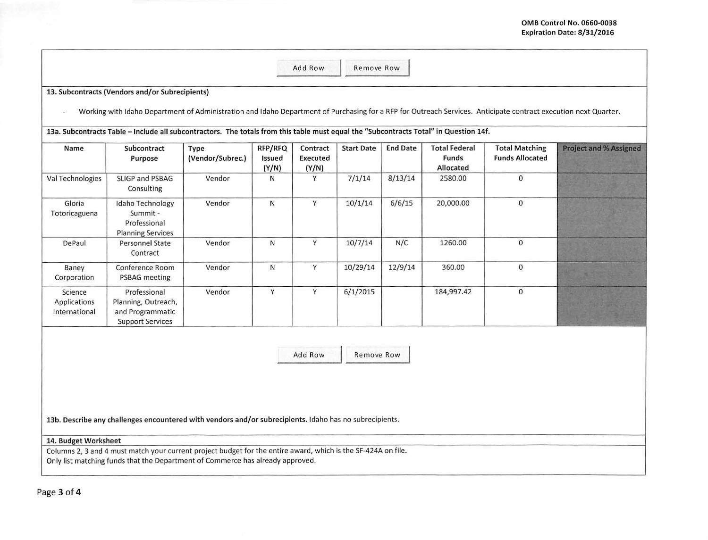|                                          | 13. Subcontracts (Vendors and/or Subrecipients)                                                                                                                                                 |                          |                            |                               |                   |                 |                                            |                                                 |                               |
|------------------------------------------|-------------------------------------------------------------------------------------------------------------------------------------------------------------------------------------------------|--------------------------|----------------------------|-------------------------------|-------------------|-----------------|--------------------------------------------|-------------------------------------------------|-------------------------------|
|                                          | Working with Idaho Department of Administration and Idaho Department of Purchasing for a RFP for Outreach Services. Anticipate contract execution next Quarter.                                 |                          |                            |                               |                   |                 |                                            |                                                 |                               |
|                                          | 13a. Subcontracts Table - Include all subcontractors. The totals from this table must equal the "Subcontracts Total" in Question 14f.                                                           |                          |                            |                               |                   |                 |                                            |                                                 |                               |
| Name                                     | Subcontract<br>Purpose                                                                                                                                                                          | Type<br>(Vendor/Subrec.) | RFP/RFQ<br>Issued<br>(Y/N) | Contract<br>Executed<br>(Y/N) | <b>Start Date</b> | <b>End Date</b> | <b>Total Federal</b><br>Funds<br>Allocated | <b>Total Matching</b><br><b>Funds Allocated</b> | <b>Project and % Assigned</b> |
| Val Technologies                         | SLIGP and PSBAG<br>Consulting                                                                                                                                                                   | Vendor                   | N                          | Y                             | 7/1/14            | 8/13/14         | 2580.00                                    | $\mathbf 0$                                     |                               |
| Gloria<br>Totoricaguena                  | Idaho Technology<br>Summit -<br>Professional<br><b>Planning Services</b>                                                                                                                        | Vendor                   | N                          | Y                             | 10/1/14           | 6/6/15          | 20,000.00                                  | $\mathsf{O}\xspace$                             |                               |
| DePaul                                   | Personnel State<br>Contract                                                                                                                                                                     | Vendor                   | N                          | Y                             | 10/7/14           | N/C             | 1260.00                                    | $\mathsf{O}\xspace$                             |                               |
| Baney<br>Corporation                     | Conference Room<br>PSBAG meeting                                                                                                                                                                | Vendor                   | N                          | Y                             | 10/29/14          | 12/9/14         | 360.00                                     | $\mathbf 0$                                     |                               |
| Science<br>Applications<br>International | Professional<br>Planning, Outreach,<br>and Programmatic<br><b>Support Services</b>                                                                                                              | Vendor                   | Y                          | Y                             | 6/1/2015          |                 | 184,997.42                                 | $\mathbf 0$                                     |                               |
|                                          |                                                                                                                                                                                                 |                          |                            |                               |                   |                 |                                            |                                                 |                               |
|                                          |                                                                                                                                                                                                 |                          |                            | Add Row                       | Remove Row        |                 |                                            |                                                 |                               |
|                                          |                                                                                                                                                                                                 |                          |                            |                               |                   |                 |                                            |                                                 |                               |
|                                          |                                                                                                                                                                                                 |                          |                            |                               |                   |                 |                                            |                                                 |                               |
|                                          | 13b. Describe any challenges encountered with vendors and/or subrecipients. Idaho has no subrecipients.                                                                                         |                          |                            |                               |                   |                 |                                            |                                                 |                               |
| 14. Budget Worksheet                     |                                                                                                                                                                                                 |                          |                            |                               |                   |                 |                                            |                                                 |                               |
|                                          | Columns 2, 3 and 4 must match your current project budget for the entire award, which is the SF-424A on file.<br>Only list matching funds that the Department of Commerce has already approved. |                          |                            |                               |                   |                 |                                            |                                                 |                               |